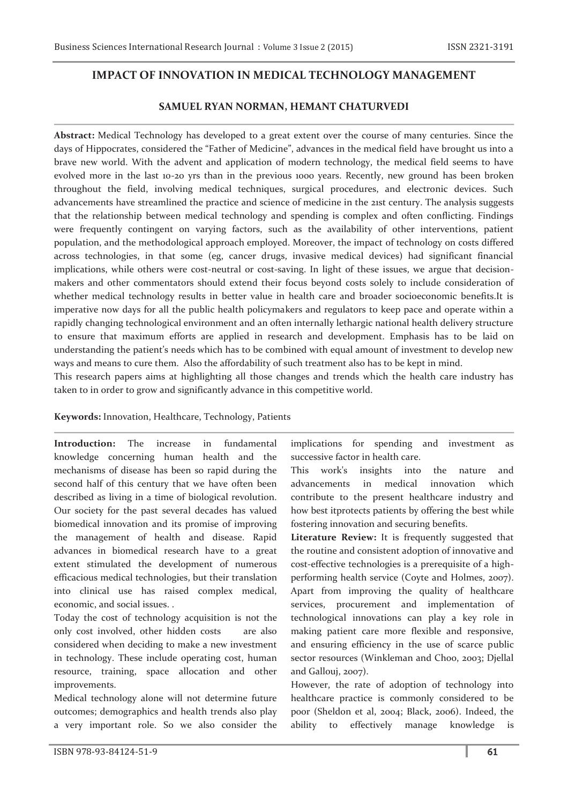# **IMPACT OF INNOVATION IN MEDICAL TECHNOLOGY MANAGEMENT**

# **SAMUEL RYAN NORMAN, HEMANT CHATURVEDI**

**Abstract:** Medical Technology has developed to a great extent over the course of many centuries. Since the days of Hippocrates, considered the "Father of Medicine", advances in the medical field have brought us into a brave new world. With the advent and application of modern technology, the medical field seems to have evolved more in the last 10-20 yrs than in the previous 1000 years. Recently, new ground has been broken throughout the field, involving medical techniques, surgical procedures, and electronic devices. Such advancements have streamlined the practice and science of medicine in the 21st century. The analysis suggests that the relationship between medical technology and spending is complex and often conflicting. Findings were frequently contingent on varying factors, such as the availability of other interventions, patient population, and the methodological approach employed. Moreover, the impact of technology on costs differed across technologies, in that some (eg, cancer drugs, invasive medical devices) had significant financial implications, while others were cost-neutral or cost-saving. In light of these issues, we argue that decisionmakers and other commentators should extend their focus beyond costs solely to include consideration of whether medical technology results in better value in health care and broader socioeconomic benefits.It is imperative now days for all the public health policymakers and regulators to keep pace and operate within a rapidly changing technological environment and an often internally lethargic national health delivery structure to ensure that maximum efforts are applied in research and development. Emphasis has to be laid on understanding the patient's needs which has to be combined with equal amount of investment to develop new ways and means to cure them. Also the affordability of such treatment also has to be kept in mind.

This research papers aims at highlighting all those changes and trends which the health care industry has taken to in order to grow and significantly advance in this competitive world.

### **Keywords:** Innovation, Healthcare, Technology, Patients

**Introduction:** The increase in fundamental knowledge concerning human health and the mechanisms of disease has been so rapid during the second half of this century that we have often been described as living in a time of biological revolution. Our society for the past several decades has valued biomedical innovation and its promise of improving the management of health and disease. Rapid advances in biomedical research have to a great extent stimulated the development of numerous efficacious medical technologies, but their translation into clinical use has raised complex medical, economic, and social issues. .

Today the cost of technology acquisition is not the only cost involved, other hidden costs are also considered when deciding to make a new investment in technology. These include operating cost, human resource, training, space allocation and other improvements.

Medical technology alone will not determine future outcomes; demographics and health trends also play a very important role. So we also consider the

This work's insights into the nature and advancements in medical innovation which

successive factor in health care.

contribute to the present healthcare industry and how best itprotects patients by offering the best while fostering innovation and securing benefits.

implications for spending and investment as

**Literature Review:** It is frequently suggested that the routine and consistent adoption of innovative and cost-effective technologies is a prerequisite of a highperforming health service (Coyte and Holmes, 2007). Apart from improving the quality of healthcare services, procurement and implementation of technological innovations can play a key role in making patient care more flexible and responsive, and ensuring efficiency in the use of scarce public sector resources (Winkleman and Choo, 2003; Djellal and Gallouj, 2007).

However, the rate of adoption of technology into healthcare practice is commonly considered to be poor (Sheldon et al, 2004; Black, 2006). Indeed, the ability to effectively manage knowledge is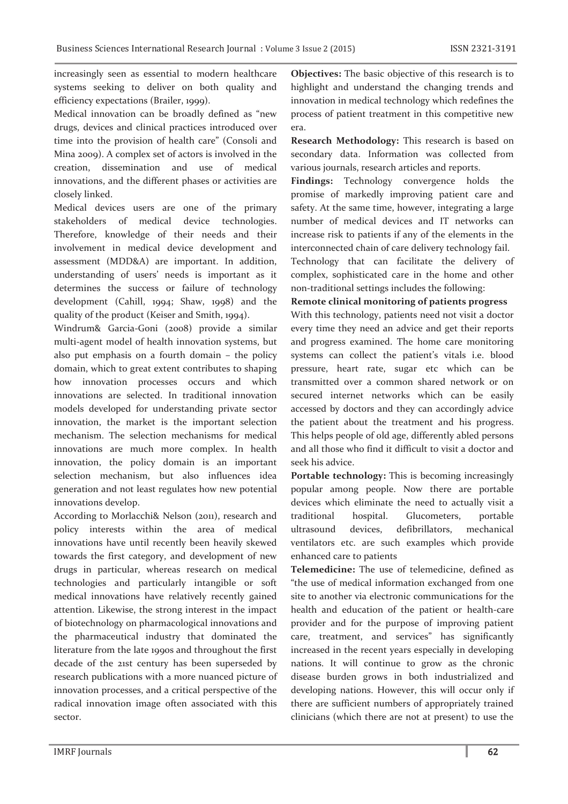increasingly seen as essential to modern healthcare systems seeking to deliver on both quality and efficiency expectations (Brailer, 1999).

Medical innovation can be broadly defined as "new drugs, devices and clinical practices introduced over time into the provision of health care" (Consoli and Mina 2009). A complex set of actors is involved in the creation, dissemination and use of medical innovations, and the different phases or activities are closely linked.

Medical devices users are one of the primary stakeholders of medical device technologies. Therefore, knowledge of their needs and their involvement in medical device development and assessment (MDD&A) are important. In addition, understanding of users' needs is important as it determines the success or failure of technology development (Cahill, 1994; Shaw, 1998) and the quality of the product (Keiser and Smith, 1994).

Windrum& Garcia-Goni (2008) provide a similar multi-agent model of health innovation systems, but also put emphasis on a fourth domain – the policy domain, which to great extent contributes to shaping how innovation processes occurs and which innovations are selected. In traditional innovation models developed for understanding private sector innovation, the market is the important selection mechanism. The selection mechanisms for medical innovations are much more complex. In health innovation, the policy domain is an important selection mechanism, but also influences idea generation and not least regulates how new potential innovations develop.

According to Morlacchi& Nelson (2011), research and policy interests within the area of medical innovations have until recently been heavily skewed towards the first category, and development of new drugs in particular, whereas research on medical technologies and particularly intangible or soft medical innovations have relatively recently gained attention. Likewise, the strong interest in the impact of biotechnology on pharmacological innovations and the pharmaceutical industry that dominated the literature from the late 1990s and throughout the first decade of the 21st century has been superseded by research publications with a more nuanced picture of innovation processes, and a critical perspective of the radical innovation image often associated with this sector.

**Objectives:** The basic objective of this research is to highlight and understand the changing trends and innovation in medical technology which redefines the process of patient treatment in this competitive new era.

**Research Methodology:** This research is based on secondary data. Information was collected from various journals, research articles and reports.

**Findings:** Technology convergence holds the promise of markedly improving patient care and safety. At the same time, however, integrating a large number of medical devices and IT networks can increase risk to patients if any of the elements in the interconnected chain of care delivery technology fail.

Technology that can facilitate the delivery of complex, sophisticated care in the home and other non-traditional settings includes the following:

#### **Remote clinical monitoring of patients progress**

With this technology, patients need not visit a doctor every time they need an advice and get their reports and progress examined. The home care monitoring systems can collect the patient's vitals i.e. blood pressure, heart rate, sugar etc which can be transmitted over a common shared network or on secured internet networks which can be easily accessed by doctors and they can accordingly advice the patient about the treatment and his progress. This helps people of old age, differently abled persons and all those who find it difficult to visit a doctor and seek his advice.

Portable technology: This is becoming increasingly popular among people. Now there are portable devices which eliminate the need to actually visit a traditional hospital. Glucometers, portable ultrasound devices, defibrillators, mechanical ventilators etc. are such examples which provide enhanced care to patients

**Telemedicine:** The use of telemedicine, defined as "the use of medical information exchanged from one site to another via electronic communications for the health and education of the patient or health-care provider and for the purpose of improving patient care, treatment, and services" has significantly increased in the recent years especially in developing nations. It will continue to grow as the chronic disease burden grows in both industrialized and developing nations. However, this will occur only if there are sufficient numbers of appropriately trained clinicians (which there are not at present) to use the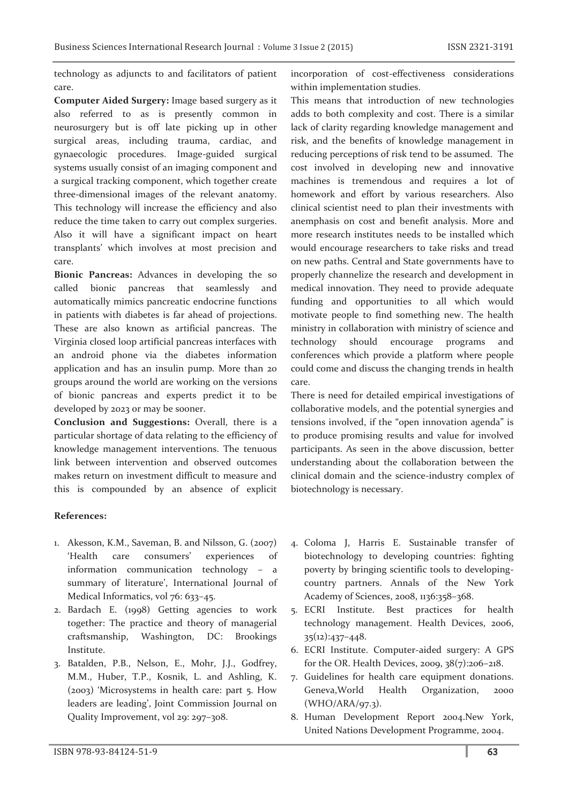technology as adjuncts to and facilitators of patient care.

**Computer Aided Surgery:** Image based surgery as it also referred to as is presently common in neurosurgery but is off late picking up in other surgical areas, including trauma, cardiac, and gynaecologic procedures. Image-guided surgical systems usually consist of an imaging component and a surgical tracking component, which together create three-dimensional images of the relevant anatomy. This technology will increase the efficiency and also reduce the time taken to carry out complex surgeries. Also it will have a significant impact on heart transplants' which involves at most precision and care.

**Bionic Pancreas:** Advances in developing the so called bionic pancreas that seamlessly and automatically mimics pancreatic endocrine functions in patients with diabetes is far ahead of projections. These are also known as artificial pancreas. The Virginia closed loop artificial pancreas interfaces with an android phone via the diabetes information application and has an insulin pump. More than 20 groups around the world are working on the versions of bionic pancreas and experts predict it to be developed by 2023 or may be sooner.

**Conclusion and Suggestions:** Overall, there is a particular shortage of data relating to the efficiency of knowledge management interventions. The tenuous link between intervention and observed outcomes makes return on investment difficult to measure and this is compounded by an absence of explicit incorporation of cost-effectiveness considerations within implementation studies.

This means that introduction of new technologies adds to both complexity and cost. There is a similar lack of clarity regarding knowledge management and risk, and the benefits of knowledge management in reducing perceptions of risk tend to be assumed. The cost involved in developing new and innovative machines is tremendous and requires a lot of homework and effort by various researchers. Also clinical scientist need to plan their investments with anemphasis on cost and benefit analysis. More and more research institutes needs to be installed which would encourage researchers to take risks and tread on new paths. Central and State governments have to properly channelize the research and development in medical innovation. They need to provide adequate funding and opportunities to all which would motivate people to find something new. The health ministry in collaboration with ministry of science and technology should encourage programs and conferences which provide a platform where people could come and discuss the changing trends in health care.

There is need for detailed empirical investigations of collaborative models, and the potential synergies and tensions involved, if the "open innovation agenda" is to produce promising results and value for involved participants. As seen in the above discussion, better understanding about the collaboration between the clinical domain and the science-industry complex of biotechnology is necessary.

# **References:**

- 1. Akesson, K.M., Saveman, B. and Nilsson, G. (2007) 'Health care consumers' experiences of information communication technology – a summary of literature', International Journal of Medical Informatics, vol 76: 633-45.
- 2. Bardach E. (1998) Getting agencies to work together: The practice and theory of managerial craftsmanship, Washington, DC: Brookings Institute.
- 3. Batalden, P.B., Nelson, E., Mohr, J.J., Godfrey, M.M., Huber, T.P., Kosnik, L. and Ashling, K. (2003) 'Microsystems in health care: part 5. How leaders are leading', Joint Commission Journal on Quality Improvement, vol 29: 297–308.
- 4. Coloma J, Harris E. Sustainable transfer of biotechnology to developing countries: fighting poverty by bringing scientific tools to developingcountry partners. Annals of the New York Academy of Sciences, 2008, 1136:358–368.
- 5. ECRI Institute. Best practices for health technology management. Health Devices, 2006, 35(12):437–448.
- 6. ECRI Institute. Computer-aided surgery: A GPS for the OR. Health Devices, 2009, 38(7):206–218.
- 7. Guidelines for health care equipment donations. Geneva,World Health Organization, 2000 (WHO/ARA/97.3).
- 8. Human Development Report 2004.New York, United Nations Development Programme, 2004.